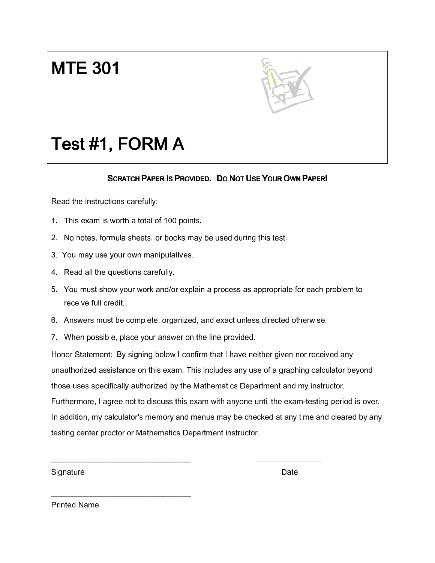## **MTE 301**



## Test #1, FORM A

## SCRATCH PAPER IS PROVIDED. DO NOT USE YOUR OWN PAPER!

Read the instructions carefully:

- 1. This exam is worth a total of 100 points. points.
- 2. No notes, formula sheets, or books may be used during this test.
- 3. You may use your own manipulatives. manipulatives.

\_\_\_\_\_\_\_\_\_\_\_\_\_\_\_\_\_\_\_\_\_\_\_\_\_\_\_\_\_\_\_\_\_\_\_\_

 $\overline{\phantom{a}}$  , and the set of the set of the set of the set of the set of the set of the set of the set of the set of the set of the set of the set of the set of the set of the set of the set of the set of the set of the s

- 4. Read all the questions carefully.
- 4. Read all the questions carefully.<br>5. You must show your work and/or explain a process as appropriate for each problem to receive full credit.
- 6. Answers must be complete, organized, and exact unless directed otherwise.<br>7. When possible, place vour answer on the line provided.
- 7. When possible, place your answer

Honor Statement: By signing below I confirm that I have neither given nor received any unauthorized assistance on this exam. This includes any use of a graphing calculator beyond those uses specifically authorized by the Mathematics Department and my inst Furthermore, I agree not to discuss this exam with anyone until the exam-testing period is over. In addition, my calculator's memory and menus may be checked at any time and cleared by any<br>testing center proctor or Mathematics Department instructor. testing center proctor or Mathematics Department instructor Statement: By signing below I confirm that I have neither given nor received any<br>norized assistance on this exam. This includes any use of a graphing calculator beyond<br>uses specifically authorized by the Mathematics Depart or explain a process as appropriate for each problem to<br>ganized, and exact unless directed otherwise.<br>wer on the line provided.<br>Were on the line provided.<br>And confirm that I have neither given nor received any<br>am. This inc

**Signature** 

Date

Printed Name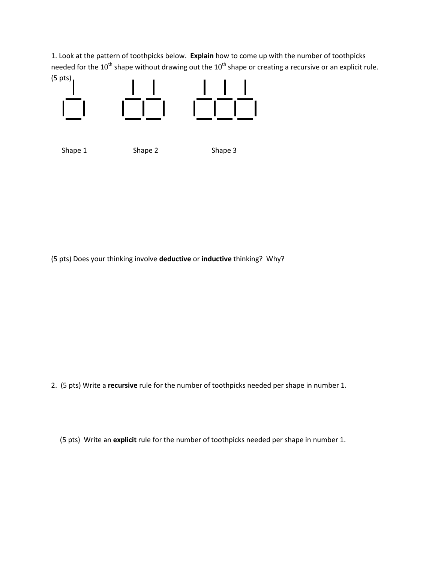1. Look at the pattern of toothpicks below. Explain how to come up with the number of toothpicks needed for the  $10^{th}$  shape without drawing out the  $10^{th}$  shape or creating a recursive or an explicit rule. (5 pts)



Shape 1 Shape 2 Shape 3

(5 pts) Does your thinking involve deductive or inductive thinking? Why?

2. (5 pts) Write a recursive rule for the number of toothpicks needed per shape in number 1.

(5 pts) Write an explicit rule for the number of toothpicks needed per shape in number 1.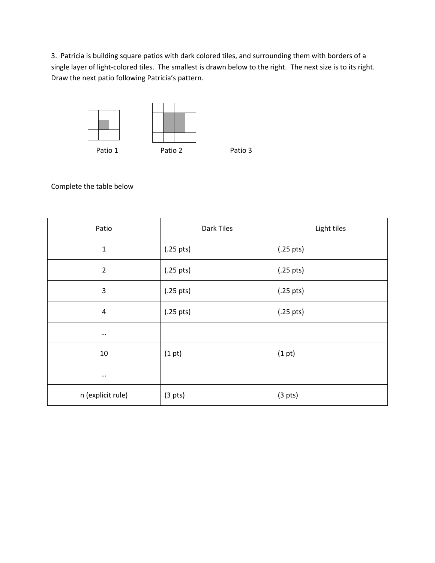3. Patricia is building square patios with dark colored tiles, and surrounding them with borders of a single layer of light-colored tiles. The smallest is drawn below to the right. The next size is to its right. Draw the next patio following Patricia's pattern.



Complete the table below

| Patio             | Dark Tiles          | Light tiles         |
|-------------------|---------------------|---------------------|
| $\mathbf{1}$      | $(.25 \text{ pts})$ | $(.25 \text{ pts})$ |
| $\overline{2}$    | $(.25 \text{ pts})$ | $(.25 \text{ pts})$ |
| $\mathbf{3}$      | $(.25 \text{ pts})$ | $(.25 \text{ pts})$ |
| $\sqrt{4}$        | $(.25 \text{ pts})$ | $(.25 \text{ pts})$ |
| $\cdots$          |                     |                     |
| 10                | (1 pt)              | (1 pt)              |
| $\cdots$          |                     |                     |
| n (explicit rule) | (3 <i>pts</i> )     | (3 <i>pts</i> )     |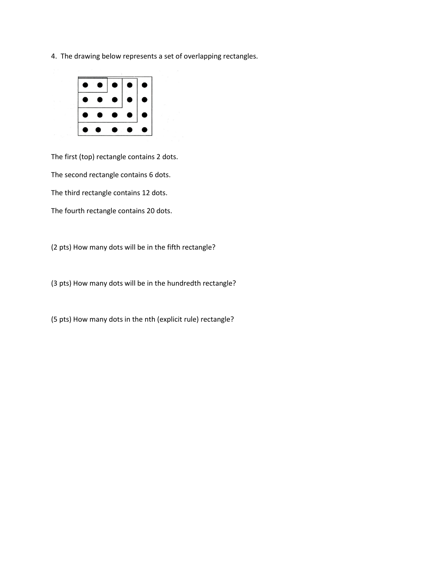4. The drawing below represents a set of overlapping rectangles.



The first (top) rectangle contains 2 dots. The second rectangle contains 6 dots. The third rectangle contains 12 dots. The fourth rectangle contains 20 dots.

(2 pts) How many dots will be in the fifth rectangle?

(3 pts) How many dots will be in the hundredth rectangle?

(5 pts) How many dots in the nth (explicit rule) rectangle?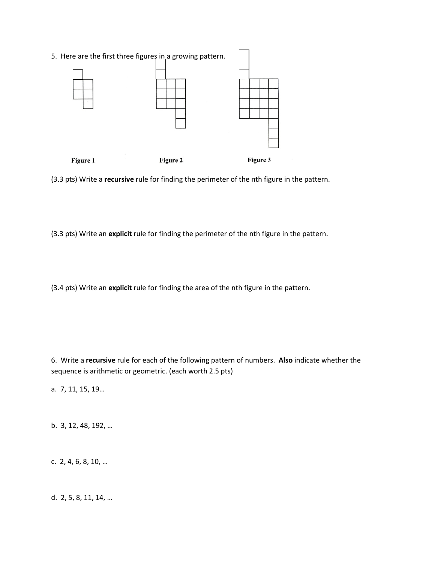5. Here are the first three figures in a growing pattern. Figure 1 Figure 2 Figure 3

(3.3 pts) Write a recursive rule for finding the perimeter of the nth figure in the pattern.

(3.3 pts) Write an explicit rule for finding the perimeter of the nth figure in the pattern.

(3.4 pts) Write an explicit rule for finding the area of the nth figure in the pattern.

6. Write a recursive rule for each of the following pattern of numbers. Also indicate whether the sequence is arithmetic or geometric. (each worth 2.5 pts)

a. 7, 11, 15, 19…

b. 3, 12, 48, 192, …

c. 2, 4, 6, 8, 10, …

d. 2, 5, 8, 11, 14, …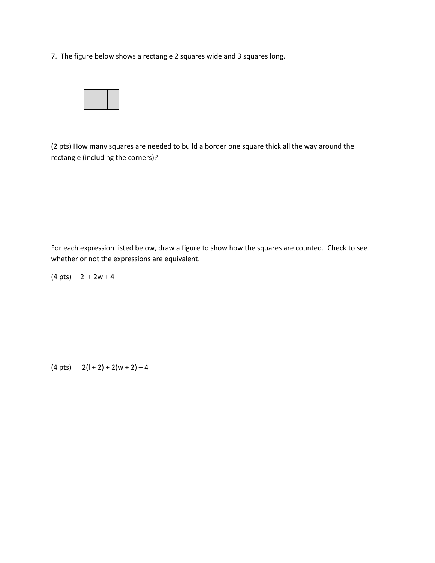7. The figure below shows a rectangle 2 squares wide and 3 squares long.



(2 pts) How many squares are needed to build a border one square thick all the way around the rectangle (including the corners)?

For each expression listed below, draw a figure to show how the squares are counted. Check to see whether or not the expressions are equivalent.

 $(4 \text{ pts})$   $2l + 2w + 4$ 

(4 pts)  $2(l + 2) + 2(w + 2) - 4$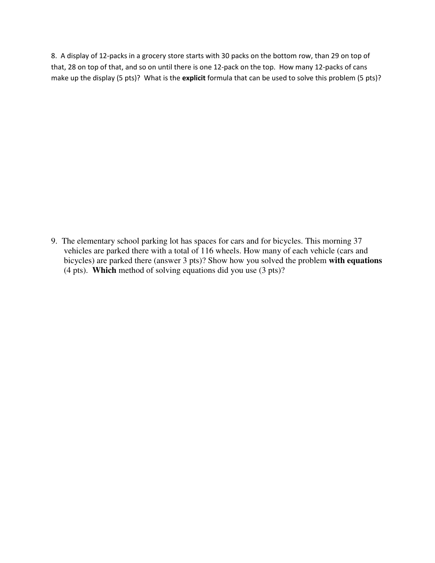8. A display of 12-packs in a grocery store starts with 30 packs on the bottom row, than 29 on top of that, 28 on top of that, and so on until there is one 12-pack on the top. How many 12-packs of cans make up the display (5 pts)? What is the explicit formula that can be used to solve this problem (5 pts)?

9.The elementary school parking lot has spaces for cars and for bicycles. This morning 37 vehicles are parked there with a total of 116 wheels. How many of each vehicle (cars and bicycles) are parked there (answer 3 pts)? Show how you solved the problem **with equations** (4 pts). **Which** method of solving equations did you use (3 pts)?